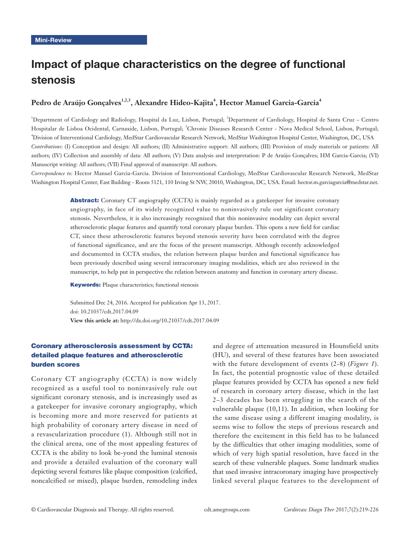# Impact of plaque characteristics on the degree of functional stenosis

# Pedro de Araújo Gonçalves<sup>1,2,3</sup>, Alexandre Hideo-Kajita<sup>4</sup>, Hector Manuel Garcia-Garcia<sup>4</sup>

<sup>1</sup>Department of Cardiology and Radiology, Hospital da Luz, Lisbon, Portugal; <sup>2</sup>Department of Cardiology, Hospital de Santa Cruz – Centro Hospitalar de Lisboa Ocidental, Carnaxide, Lisbon, Portugal; <sup>3</sup>Chronic Diseases Research Center - Nova Medical School, Lisbon, Portugal; 4 Division of Interventional Cardiology, MedStar Cardiovascular Research Network, MedStar Washington Hospital Center, Washington, DC, USA *Contributions*: (I) Conception and design: All authors; (II) Administrative support: All authors; (III) Provision of study materials or patients: All authors; (IV) Collection and assembly of data: All authors; (V) Data analysis and interpretation: P de Araújo Gonçalves; HM Garcia-Garcia; (VI) Manuscript writing: All authors; (VII) Final approval of manuscript: All authors.

*Correspondence to:* Hector Manuel Garcia-Garcia. Division of Interventional Cardiology, MedStar Cardiovascular Research Network, MedStar Washington Hospital Center, East Building - Room 5121, 110 Irving St NW, 20010, Washington, DC, USA. Email: hector.m.garciagarcia@medstar.net.

> Abstract: Coronary CT angiography (CCTA) is mainly regarded as a gatekeeper for invasive coronary angiography, in face of its widely recognized value to noninvasively rule out significant coronary stenosis. Nevertheless, it is also increasingly recognized that this noninvasive modality can depict several atherosclerotic plaque features and quantify total coronary plaque burden. This opens a new field for cardiac CT, since these atherosclerotic features beyond stenosis severity have been correlated with the degree of functional significance, and are the focus of the present manuscript. Although recently acknowledged and documented in CCTA studies, the relation between plaque burden and functional significance has been previously described using several intracoronary imaging modalities, which are also reviewed in the manuscript, to help put in perspective the relation between anatomy and function in coronary artery disease.

Keywords: Plaque characteristics; functional stenosis

Submitted Dec 24, 2016. Accepted for publication Apr 13, 2017. doi: 10.21037/cdt.2017.04.09 **View this article at:** http://dx.doi.org/10.21037/cdt.2017.04.09

# Coronary atherosclerosis assessment by CCTA: detailed plaque features and atherosclerotic burden scores

Coronary CT angiography (CCTA) is now widely recognized as a useful tool to noninvasively rule out significant coronary stenosis, and is increasingly used as a gatekeeper for invasive coronary angiography, which is becoming more and more reserved for patients at high probability of coronary artery disease in need of a revascularization procedure (1). Although still not in the clinical arena, one of the most appealing features of CCTA is the ability to look be-yond the luminal stenosis and provide a detailed evaluation of the coronary wall depicting several features like plaque composition (calcified, noncalcified or mixed), plaque burden, remodeling index

and degree of attenuation measured in Hounsfield units (HU), and several of these features have been associated with the future development of events (2-8) (*Figure 1*). In fact, the potential prognostic value of these detailed plaque features provided by CCTA has opened a new field of research in coronary artery disease, which in the last 2–3 decades has been struggling in the search of the vulnerable plaque (10,11). In addition, when looking for the same disease using a different imaging modality, is seems wise to follow the steps of previous research and therefore the excitement in this field has to be balanced by the difficulties that other imaging modalities, some of which of very high spatial resolution, have faced in the search of these vulnerable plaques. Some landmark studies that used invasive intracoronary imaging have prospectively linked several plaque features to the development of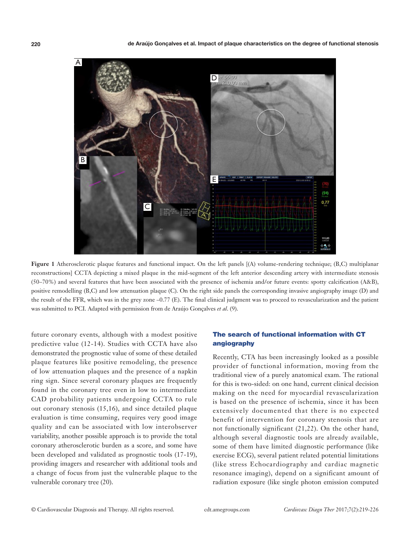

**Figure 1** Atherosclerotic plaque features and functional impact. On the left panels [(A) volume-rendering technique; (B,C) multiplanar reconstructions] CCTA depicting a mixed plaque in the mid-segment of the left anterior descending artery with intermediate stenosis (50–70%) and several features that have been associated with the presence of ischemia and/or future events: spotty calcification (A&B), positive remodelling (B,C) and low attenuation plaque (C). On the right side panels the corresponding invasive angiography image (D) and the result of the FFR, which was in the grey zone –0.77 (E). The final clinical judgment was to proceed to revascularization and the patient was submitted to PCI. Adapted with permission from de Araújo Gonçalves *et al*. (9).

future coronary events, although with a modest positive predictive value (12-14). Studies with CCTA have also demonstrated the prognostic value of some of these detailed plaque features like positive remodeling, the presence of low attenuation plaques and the presence of a napkin ring sign. Since several coronary plaques are frequently found in the coronary tree even in low to intermediate CAD probability patients undergoing CCTA to rule out coronary stenosis (15,16), and since detailed plaque evaluation is time consuming, requires very good image quality and can be associated with low interobserver variability, another possible approach is to provide the total coronary atherosclerotic burden as a score, and some have been developed and validated as prognostic tools (17-19), providing imagers and researcher with additional tools and a change of focus from just the vulnerable plaque to the vulnerable coronary tree (20).

# The search of functional information with CT angiography

Recently, CTA has been increasingly looked as a possible provider of functional information, moving from the traditional view of a purely anatomical exam. The rational for this is two-sided: on one hand, current clinical decision making on the need for myocardial revascularization is based on the presence of ischemia, since it has been extensively documented that there is no expected benefit of intervention for coronary stenosis that are not functionally significant (21,22). On the other hand, although several diagnostic tools are already available, some of them have limited diagnostic performance (like exercise ECG), several patient related potential limitations (like stress Echocardiography and cardiac magnetic resonance imaging), depend on a significant amount of radiation exposure (like single photon emission computed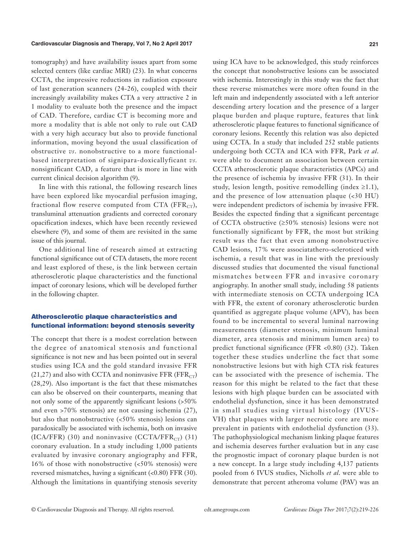#### **Cardiovascular Diagnosis and Therapy, Vol 7, No 2 April 2017 221**

tomography) and have availability issues apart from some selected centers (like cardiac MRI) (23). In what concerns CCTA, the impressive reductions in radiation exposure of last generation scanners (24-26), coupled with their increasingly availability makes CTA a very attractive 2 in 1 modality to evaluate both the presence and the impact of CAD. Therefore, cardiac CT is becoming more and more a modality that is able not only to rule out CAD with a very high accuracy but also to provide functional information, moving beyond the usual classification of obstructive *vs*. nonobstructive to a more functionalbased interpretation of signipara-doxicallyficant *vs.* nonsignificant CAD, a feature that is more in line with current clinical decision algorithm (9).

In line with this rational, the following research lines have been explored like myocardial perfusion imaging, fractional flow reserve computed from CTA ( $FFR<sub>CT</sub>$ ), transluminal attenuation gradients and corrected coronary opacification indexes, which have been recently reviewed elsewhere (9), and some of them are revisited in the same issue of this journal.

One additional line of research aimed at extracting functional significance out of CTA datasets, the more recent and least explored of these, is the link between certain atherosclerotic plaque characteristics and the functional impact of coronary lesions, which will be developed further in the following chapter.

# Atherosclerotic plaque characteristics and functional information: beyond stenosis severity

The concept that there is a modest correlation between the degree of anatomical stenosis and functional significance is not new and has been pointed out in several studies using ICA and the gold standard invasive FFR  $(21,27)$  and also with CCTA and noninvasive FFR (FFR<sub>CT</sub>) (28,29). Also important is the fact that these mismatches can also be observed on their counterparts, meaning that not only some of the apparently significant lesions (>50% and even >70% stenosis) are not causing ischemia (27), but also that nonobstructive (<50% stenosis) lesions can paradoxically be associated with ischemia, both on invasive (ICA/FFR) (30) and noninvasive (CCTA/FFR $_{CT}$ ) (31) coronary evaluation. In a study including 1,000 patients evaluated by invasive coronary angiography and FFR, 16% of those with nonobstructive (<50% stenosis) were reversed mismatches, having a significant (<0.80) FFR (30). Although the limitations in quantifying stenosis severity using ICA have to be acknowledged, this study reinforces the concept that nonobstructive lesions can be associated with ischemia. Interestingly in this study was the fact that these reverse mismatches were more often found in the left main and independently associated with a left anterior descending artery location and the presence of a larger plaque burden and plaque rupture, features that link atherosclerotic plaque features to functional significance of coronary lesions. Recently this relation was also depicted using CCTA. In a study that included 252 stable patients undergoing both CCTA and ICA with FFR, Park *et al*. were able to document an association between certain CCTA atherosclerotic plaque characteristics (APCs) and the presence of ischemia by invasive FFR (31). In their study, lesion length, positive remodelling (index  $\geq 1.1$ ), and the presence of low attenuation plaque  $\left( < 30 \text{ HU} \right)$ were independent predictors of ischemia by invasive FFR. Besides the expected finding that a significant percentage of CCTA obstructive (≥50% stenosis) lesions were not functionally significant by FFR, the most but striking result was the fact that even among nonobstructive CAD lesions, 17% were associatathero-scleroticed with ischemia, a result that was in line with the previously discussed studies that documented the visual functional mismatches between FFR and invasive coronary angiography. In another small study, including 58 patients with intermediate stenosis on CCTA undergoing ICA with FFR, the extent of coronary atherosclerotic burden quantified as aggregate plaque volume (APV), has been found to be incremental to several luminal narrowing measurements (diameter stenosis, minimum luminal diameter, area stenosis and minimum lumen area) to predict functional significance (FFR <0.80) (32). Taken together these studies underline the fact that some nonobstructive lesions but with high CTA risk features can be associated with the presence of ischemia. The reason for this might be related to the fact that these lesions with high plaque burden can be associated with endothelial dysfunction, since it has been demonstrated in small studies using virtual histology (IVUS-VH) that plaques with larger necrotic core are more prevalent in patients with endothelial dysfunction (33). The pathophysiological mechanism linking plaque features and ischemia deserves further evaluation but in any case the prognostic impact of coronary plaque burden is not a new concept. In a large study including 4,137 patients pooled from 6 IVUS studies, Nicholls *et al*. were able to demonstrate that percent atheroma volume (PAV) was an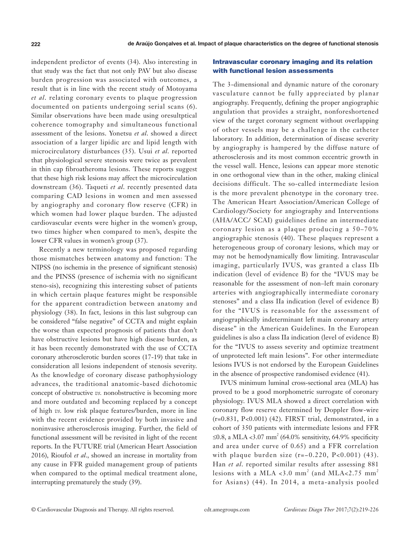independent predictor of events (34). Also interesting in that study was the fact that not only PAV but also disease burden progression was associated with outcomes, a result that is in line with the recent study of Motoyama *et al*. relating coronary events to plaque progression documented on patients undergoing serial scans (6). Similar observations have been made using oresultptical coherence tomography and simultaneous functional assessment of the lesions. Yonetsu *et al*. showed a direct association of a larger lipidic arc and lipid length with microcirculatory disturbances (35). Usui *et al*. reported that physiological severe stenosis were twice as prevalent in thin cap fibroatheroma lesions. These reports suggest that these high risk lesions may affect the microcirculation downstream (36). Taqueti *et al*. recently presented data comparing CAD lesions in women and men assessed by angiography and coronary flow reserve (CFR) in which women had lower plaque burden. The adjusted cardiovascular events were higher in the women's group, two times higher when compared to men's, despite the lower CFR values in women's group (37).

Recently a new terminology was proposed regarding those mismatches between anatomy and function: The NIPSS (no ischemia in the presence of significant stenosis) and the PINSS (presence of ischemia with no significant steno-sis), recognizing this interesting subset of patients in which certain plaque features might be responsible for the apparent contradiction between anatomy and physiology (38). In fact, lesions in this last subgroup can be considered "false negative" of CCTA and might explain the worse than expected prognosis of patients that don't have obstructive lesions but have high disease burden, as it has been recently demonstrated with the use of CCTA coronary atherosclerotic burden scores (17-19) that take in consideration all lesions independent of stenosis severity. As the knowledge of coronary disease pathophysiology advances, the traditional anatomic-based dichotomic concept of obstructive *vs.* nonobstructive is becoming more and more outdated and becoming replaced by a concept of high *vs.* low risk plaque features/burden, more in line with the recent evidence provided by both invasive and noninvasive atherosclerosis imaging. Further, the field of functional assessment will be revisited in light of the recent reports. In the FUTURE trial (American Heart Association 2016), Rioufol *et al*., showed an increase in mortality from any cause in FFR guided management group of patients when compared to the optimal medical treatment alone, interrupting prematurely the study (39).

# Intravascular coronary imaging and its relation with functional lesion assessments

The 3-dimensional and dynamic nature of the coronary vasculature cannot be fully appreciated by planar angiography. Frequently, defining the proper angiographic angulation that provides a straight, nonforeshortened view of the target coronary segment without overlapping of other vessels may be a challenge in the catheter laboratory. In addition, determination of disease severity by angiography is hampered by the diffuse nature of atherosclerosis and its most common eccentric growth in the vessel wall. Hence, lesions can appear more stenotic in one orthogonal view than in the other, making clinical decisions difficult. The so-called intermediate lesion is the more prevalent phenotype in the coronary tree. The American Heart Association/American College of Cardiology/Society for angiography and Interventions (AHA/ACC/ SCAI) guidelines define an intermediate coronary lesion as a plaque producing a 50–70% angiographic stenosis (40). These plaques represent a heterogeneous group of coronary lesions, which may or may not be hemodynamically flow limiting. Intravascular imaging, particularly IVUS, was granted a class IIb indication (level of evidence B) for the "IVUS may be reasonable for the assessment of non–left main coronary arteries with angiographically intermediate coronary stenoses" and a class IIa indication (level of evidence B) for the "IVUS is reasonable for the assessment of angiographically indeterminant left main coronary artery disease" in the American Guidelines. In the European guidelines is also a class IIa indication (level of evidence B) for the "IVUS to assess severity and optimize treatment of unprotected left main lesions". For other intermediate lesions IVUS is not endorsed by the European Guidelines in the absence of prospective randomised evidence (41).

IVUS minimum luminal cross-sectional area (MLA) has proved to be a good morphometric surrogate of coronary physiology. IVUS MLA showed a direct correlation with coronary flow reserve determined by Doppler flow-wire (r=0.831, P<0.001) (42). FIRST trial, demonstrated, in a cohort of 350 patients with intermediate lesions and FFR ≤0.8, a MLA <3.07 mm<sup>2</sup> (64.0% sensitivity, 64.9% specificity and area under curve of 0.65) and a FFR correlation with plaque burden size (r=−0.220, P<0.001) (43). Han *et al*. reported similar results after assessing 881 lesions with a MLA <3.0  $\text{mm}^2$  (and MLA<2.75  $\text{mm}^2$ for Asians) (44). In 2014, a meta-analysis pooled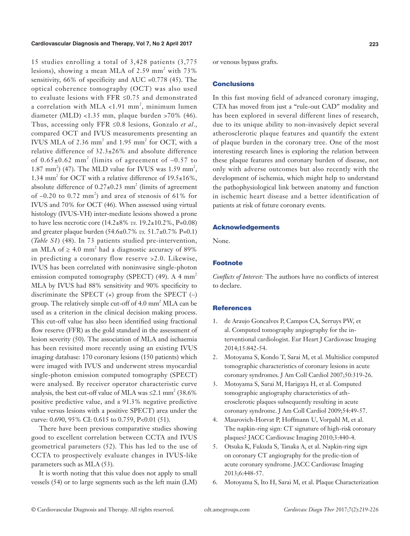### **Cardiovascular Diagnosis and Therapy, Vol 7, No 2 April 2017 223**

15 studies enrolling a total of 3,428 patients (3,775 lesions), showing a mean MLA of 2.59 mm<sup>2</sup> with  $73\%$ sensitivity, 66% of specificity and AUC =0.778 (45). The optical coherence tomography (OCT) was also used to evaluate lesions with FFR ≤0.75 and demonstrated a correlation with  $MLA < 1.91$  mm<sup>2</sup>, minimum lumen diameter (MLD) <1.35 mm, plaque burden >70% (46). Thus, accessing only FFR ≤0.8 lesions, Gonzalo *et al*., compared OCT and IVUS measurements presenting an IVUS MLA of 2.36 mm<sup>2</sup> and 1.95 mm<sup>2</sup> for OCT, with a relative difference of 32.3±26% and absolute difference of  $0.65\pm0.62$  mm<sup>2</sup> (limits of agreement of  $-0.57$  to 1.87 mm<sup>2</sup>) (47). The MLD value for IVUS was 1.59 mm<sup>2</sup>, 1.34 mm<sup>2</sup> for OCT with a relative difference of  $19.5 \pm 16\%$ , absolute difference of  $0.27 \pm 0.23$  mm<sup>2</sup> (limits of agreement of  $-0.20$  to  $0.72$  mm<sup>2</sup>) and area of stenosis of 61% for IVUS and 70% for OCT (46). When assessed using virtual histology (IVUS-VH) inter-mediate lesions showed a prone to have less necrotic core (14.2±8% *vs.* 19.2±10.2%, P=0.08) and greater plaque burden (54.6±0.7% *vs.* 51.7±0.7% P=0.1) (*Table S1*) (48). In 73 patients studied pre-intervention, an MLA of  $\geq 4.0$  mm<sup>2</sup> had a diagnostic accuracy of 89% in predicting a coronary flow reserve >2.0. Likewise, IVUS has been correlated with noninvasive single-photon emission computed tomography (SPECT)  $(49)$ . A 4 mm<sup>2</sup> MLA by IVUS had 88% sensitivity and 90% specificity to discriminate the SPECT  $(+)$  group from the SPECT  $(-)$ group. The relatively simple cut-off of 4.0 mm<sup>2</sup> MLA can be used as a criterion in the clinical decision making process. This cut-off value has also been identified using fractional flow reserve (FFR) as the gold standard in the assessment of lesion severity (50). The association of MLA and ischaemia has been revisited more recently using an existing IVUS imaging database: 170 coronary lesions (150 patients) which were imaged with IVUS and underwent stress myocardial single-photon emission computed tomography (SPECT) were analysed. By receiver operator characteristic curve analysis, the best cut-off value of MLA was  $\leq 2.1$  mm<sup>2</sup> (38.6%) positive predictive value, and a 91.3% negative predictive value versus lesions with a positive SPECT) area under the curve: 0.690, 95% CI: 0.615 to 0.759, P<0.01 (51).

There have been previous comparative studies showing good to excellent correlation between CCTA and IVUS geometrical parameters (52). This has led to the use of CCTA to prospectively evaluate changes in IVUS-like parameters such as MLA (53).

It is worth noting that this value does not apply to small vessels (54) or to large segments such as the left main (LM) or venous bypass grafts.

## **Conclusions**

In this fast moving field of advanced coronary imaging, CTA has moved from just a "rule-out CAD" modality and has been explored in several different lines of research, due to its unique ability to non-invasively depict several atherosclerotic plaque features and quantify the extent of plaque burden in the coronary tree. One of the most interesting research lines is exploring the relation between these plaque features and coronary burden of disease, not only with adverse outcomes but also recently with the development of ischemia, which might help to understand the pathophysiological link between anatomy and function in ischemic heart disease and a better identification of patients at risk of future coronary events.

## Acknowledgements

None.

## Footnote

*Conflicts of Interest:* The authors have no conflicts of interest to declare.

## **References**

- 1. de Araujo Goncalves P, Campos CA, Serruys PW, et al. Computed tomography angiography for the interventional cardiologist. Eur Heart J Cardiovasc Imaging 2014;15:842-54.
- 2. Motoyama S, Kondo T, Sarai M, et al. Multislice computed tomographic characteristics of coronary lesions in acute coronary syndromes. J Am Coll Cardiol 2007;50:319-26.
- 3. Motoyama S, Sarai M, Harigaya H, et al. Computed tomographic angiography characteristics of atherosclerotic plaques subsequently resulting in acute coronary syndrome. J Am Coll Cardiol 2009;54:49-57.
- 4. Maurovich-Horvat P, Hoffmann U, Vorpahl M, et al. The napkin-ring sign: CT signature of high-risk coronary plaques? JACC Cardiovasc Imaging 2010;3:440-4.
- 5. Otsuka K, Fukuda S, Tanaka A, et al. Napkin-ring sign on coronary CT angiography for the predic-tion of acute coronary syndrome. JACC Cardiovasc Imaging 2013;6:448-57.
- 6. Motoyama S, Ito H, Sarai M, et al. Plaque Characterization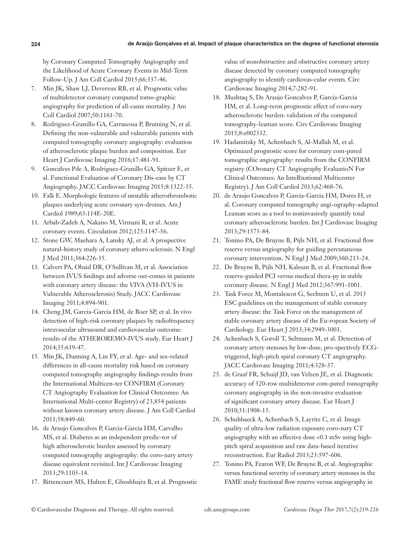by Coronary Computed Tomography Angiography and the Likelihood of Acute Coronary Events in Mid-Term Follow-Up. J Am Coll Cardiol 2015;66:337-46.

- 7. Min JK, Shaw LJ, Devereux RB, et al. Prognostic value of multidetector coronary computed tomo-graphic angiography for prediction of all-cause mortality. J Am Coll Cardiol 2007;50:1161-70.
- 8. Rodriguez-Granillo GA, Carrascosa P, Bruining N, et al. Defining the non-vulnerable and vulnerable patients with computed tomography coronary angiography: evaluation of atherosclerotic plaque burden and composition. Eur Heart J Cardiovasc Imaging 2016;17:481-91.
- 9. Goncalves Pde A, Rodriguez-Granillo GA, Spitzer E, et al. Functional Evaluation of Coronary Dis-ease by CT Angiography. JACC Cardiovasc Imaging 2015;8:1322-35.
- 10. Falk E. Morphologic features of unstable atherothrombotic plaques underlying acute coronary syn-dromes. Am J Cardiol 1989;63:114E-20E.
- 11. Arbab-Zadeh A, Nakano M, Virmani R, et al. Acute coronary events. Circulation 2012;125:1147-56.
- 12. Stone GW, Maehara A, Lansky AJ, et al. A prospective natural-history study of coronary athero-sclerosis. N Engl J Med 2011;364:226-35.
- 13. Calvert PA, Obaid DR, O'Sullivan M, et al. Association between IVUS findings and adverse out-comes in patients with coronary artery disease: the VIVA (VH-IVUS in Vulnerable Atherosclerosis) Study. JACC Cardiovasc Imaging 2011;4:894-901.
- 14. Cheng JM, Garcia-Garcia HM, de Boer SP, et al. In vivo detection of high-risk coronary plaques by radiofrequency intravascular ultrasound and cardiovascular outcome: results of the ATHEROREMO-IVUS study. Eur Heart J 2014;35:639-47.
- 15. Min JK, Dunning A, Lin FY, et al. Age- and sex-related differences in all-cause mortality risk based on coronary computed tomography angiography findings results from the International Multicen-ter CONFIRM (Coronary CT Angiography Evaluation for Clinical Outcomes: An International Multi-center Registry) of 23,854 patients without known coronary artery disease. J Am Coll Cardiol 2011;58:849-60.
- 16. de Araujo Goncalves P, Garcia-Garcia HM, Carvalho MS, et al. Diabetes as an independent predic-tor of high atherosclerotic burden assessed by coronary computed tomography angiography: the coro-nary artery disease equivalent revisited. Int J Cardiovasc Imaging 2013;29:1105-14.
- 17. Bittencourt MS, Hulten E, Ghoshhajra B, et al. Prognostic

value of nonobstructive and obstructive coronary artery disease detected by coronary computed tomography angiography to identify cardiovas-cular events. Circ Cardiovasc Imaging 2014;7:282-91.

- 18. Mushtaq S, De Araujo Goncalves P, Garcia-Garcia HM, et al. Long-term prognostic effect of coro-nary atherosclerotic burden: validation of the computed tomography-leaman score. Circ Cardiovasc Imaging 2015;8:e002332.
- 19. Hadamitzky M, Achenbach S, Al-Mallah M, et al. Optimized prognostic score for coronary com-puted tomographic angiography: results from the CONFIRM registry (COronary CT Angiography EvaluatioN For Clinical Outcomes: An InteRnational Multicenter Registry). J Am Coll Cardiol 2013;62:468-76.
- 20. de Araujo Goncalves P, Garcia-Garcia HM, Dores H, et al. Coronary computed tomography angi-ography-adapted Leaman score as a tool to noninvasively quantify total coronary atherosclerotic burden. Int J Cardiovasc Imaging 2013;29:1575-84.
- 21. Tonino PA, De Bruyne B, Pijls NH, et al. Fractional flow reserve versus angiography for guiding percutaneous coronary intervention. N Engl J Med 2009;360:213-24.
- 22. De Bruyne B, Pijls NH, Kalesan B, et al. Fractional flow reserve-guided PCI versus medical thera-py in stable coronary disease. N Engl J Med 2012;367:991-1001.
- 23. Task Force M, Montalescot G, Sechtem U, et al. 2013 ESC guidelines on the management of stable coronary artery disease: the Task Force on the management of stable coronary artery disease of the Eu-ropean Society of Cardiology. Eur Heart J 2013;34:2949-3003.
- 24. Achenbach S, Goroll T, Seltmann M, et al. Detection of coronary artery stenoses by low-dose, pro-spectively ECGtriggered, high-pitch spiral coronary CT angiography. JACC Cardiovasc Imaging 2011;4:328-37.
- 25. de Graaf FR, Schuijf JD, van Velzen JE, et al. Diagnostic accuracy of 320-row multidetector com-puted tomography coronary angiography in the non-invasive evaluation of significant coronary artery disease. Eur Heart J 2010;31:1908-15.
- 26. Schuhbaeck A, Achenbach S, Layritz C, et al. Image quality of ultra-low radiation exposure coro-nary CT angiography with an effective dose <0.1 mSv using highpitch spiral acquisition and raw data-based iterative reconstruction. Eur Radiol 2013;23:597-606.
- 27. Tonino PA, Fearon WF, De Bruyne B, et al. Angiographic versus functional severity of coronary artery stenoses in the FAME study fractional flow reserve versus angiography in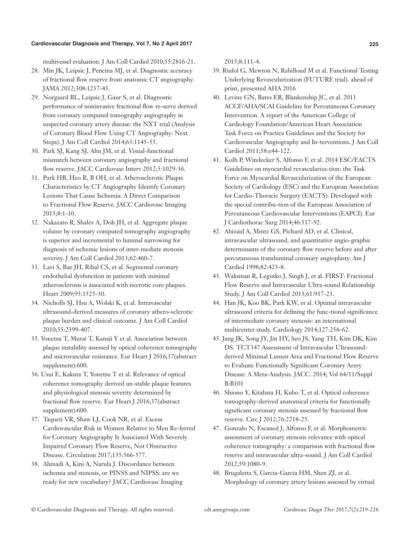## **Cardiovascular Diagnosis and Therapy, Vol 7, No 2 April 2017 225**

multivessel evaluation. J Am Coll Cardiol 2010;55:2816-21.

- 28. Min JK, Leipsic J, Pencina MJ, et al. Diagnostic accuracy of fractional flow reserve from anatomic CT angiography. JAMA 2012;308:1237-45.
- 29. Norgaard BL, Leipsic J, Gaur S, et al. Diagnostic performance of noninvasive fractional flow re-serve derived from coronary computed tomography angiography in suspected coronary artery disease: the NXT trial (Analysis of Coronary Blood Flow Using CT Angiography: Next Steps). J Am Coll Cardiol 2014;63:1145-55.
- 30. Park SJ, Kang SJ, Ahn JM, et al. Visual-functional mismatch between coronary angiography and fractional flow reserve. JACC Cardiovasc Interv 2012;5:1029-36.
- 31. Park HB, Heo R, B OH, et al. Atherosclerotic Plaque Characteristics by CT Angiography Identify Coronary Lesions That Cause Ischemia: A Direct Comparison to Fractional Flow Reserve. JACC Cardiovasc Imaging 2015;8:1-10.
- 32. Nakazato R, Shalev A, Doh JH, et al. Aggregate plaque volume by coronary computed tomography angiography is superior and incremental to luminal narrowing for diagnosis of ischemic lesions of inter-mediate stenosis severity. J Am Coll Cardiol 2013;62:460-7.
- 33. Lavi S, Bae JH, Rihal CS, et al. Segmental coronary endothelial dysfunction in patients with minimal atherosclerosis is associated with necrotic core plaques. Heart 2009;95:1525-30.
- 34. Nicholls SJ, Hsu A, Wolski K, et al. Intravascular ultrasound-derived measures of coronary athero-sclerotic plaque burden and clinical outcome. J Am Coll Cardiol 2010;55:2399-407.
- 35. Yonetsu T, Murai T, Kanaji Y et al. Association between plaque instability assessed by optical coherence tomography and microvascular resistance. Eur Heart J 2016;37(abstract supplement):600.
- 36. Usui E, Kakuta T, Yonetsu T et al. Relevance of optical coherence tomography derived un-stable plaque features and physiological stenosis severity determined by fractional flow reserve. Eur Heart J 2016;37(abstract supplement):600.
- 37. Taqueti VR, Shaw LJ, Cook NR, et al. Excess Cardiovascular Risk in Women Relative to Men Re-ferred for Coronary Angiography Is Associated With Severely Impaired Coronary Flow Reserve, Not Obstructive Disease. Circulation 2017;135:566-577.
- 38. Ahmadi A, Kini A, Narula J. Discordance between ischemia and stenosis, or PINSS and NIPSS: are we ready for new vocabulary? JACC Cardiovasc Imaging

2015;8:111-4.

- 39. Riufol G, Mewton N, Rabilloud M et al. Functional Testing Underlying Revascularization (FUTURE trial). ahead of print, presented AHA 2016
- 40. Levine GN, Bates ER, Blankenship JC, et al. 2011 ACCF/AHA/SCAI Guideline for Percutaneous Coronary Intervention. A report of the American College of Cardiology Foundation/American Heart Association Task Force on Practice Guidelines and the Society for Cardiovascular Angiography and In-terventions. J Am Coll Cardiol 2011;58:e44-122.
- 41. Kolh P, Windecker S, Alfonso F, et al. 2014 ESC/EACTS Guidelines on myocardial revasculariza-tion: the Task Force on Myocardial Revascularization of the European Society of Cardiology (ESC) and the European Association for Cardio-Thoracic Surgery (EACTS). Developed with the special contribu-tion of the European Association of Percutaneous Cardiovascular Interventions (EAPCI). Eur J Cardiothorac Surg 2014;46:517-92.
- 42. Abizaid A, Mintz GS, Pichard AD, et al. Clinical, intravascular ultrasound, and quantitative angio-graphic determinants of the coronary flow reserve before and after percutaneous transluminal coronary angioplasty. Am J Cardiol 1998;82:423-8.
- 43. Waksman R, Legutko J, Singh J, et al. FIRST: Fractional Flow Reserve and Intravascular Ultra-sound Relationship Study. J Am Coll Cardiol 2013;61:917-23.
- 44. Han JK, Koo BK, Park KW, et al. Optimal intravascular ultrasound criteria for defining the func-tional significance of intermediate coronary stenosis: an international multicenter study. Cardiology 2014;127:256-62.
- 45. Jang JK, Song JY, Jin HY, Seo JS, Yang TH, Kim DK, Kim DS. TCT347 Assessment of Intravascular Ultrasoundderived Minimal Lumen Area and Fractional Flow Reserve to Evaluate Functionally Significant Coronary Arery Disease: A Meta-Analysis. JACC. 2014; Vol 64/11/Suppl B:B101
- 46. Shiono Y, Kitabata H, Kubo T, et al. Optical coherence tomography-derived anatomical criteria for functionally significant coronary stenosis assessed by fractional flow reserve. Circ J 2012;76:2218-25.
- 47. Gonzalo N, Escaned J, Alfonso F, et al. Morphometric assessment of coronary stenosis relevance with optical coherence tomography: a comparison with fractional flow reserve and intravascular ultra-sound. J Am Coll Cardiol 2012;59:1080-9.
- 48. Brugaletta S, Garcia-Garcia HM, Shen ZJ, et al. Morphology of coronary artery lesions assessed by virtual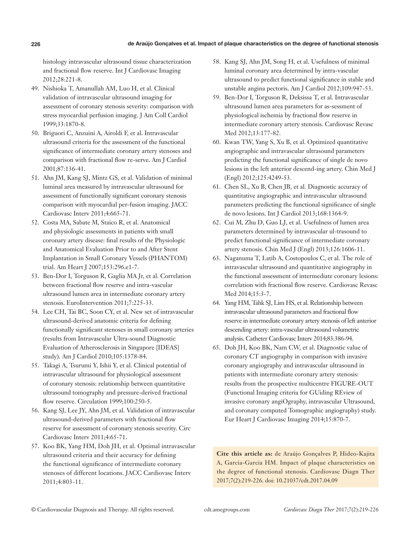histology intravascular ultrasound tissue characterization and fractional flow reserve. Int J Cardiovasc Imaging 2012;28:221-8.

- 49. Nishioka T, Amanullah AM, Luo H, et al. Clinical validation of intravascular ultrasound imaging for assessment of coronary stenosis severity: comparison with stress myocardial perfusion imaging. J Am Coll Cardiol 1999;33:1870-8.
- 50. Briguori C, Anzuini A, Airoldi F, et al. Intravascular ultrasound criteria for the assessment of the functional significance of intermediate coronary artery stenoses and comparison with fractional flow re-serve. Am J Cardiol 2001;87:136-41.
- 51. Ahn JM, Kang SJ, Mintz GS, et al. Validation of minimal luminal area measured by intravascular ultrasound for assessment of functionally significant coronary stenosis comparison with myocardial per-fusion imaging. JACC Cardiovasc Interv 2011;4:665-71.
- 52. Costa MA, Sabate M, Staico R, et al. Anatomical and physiologic assessments in patients with small coronary artery disease: final results of the Physiologic and Anatomical Evaluation Prior to and After Stent Implantation in Small Coronary Vessels (PHANTOM) trial. Am Heart J 2007;153:296.e1-7.
- 53. Ben-Dor I, Torguson R, Gaglia MA Jr, et al. Correlation between fractional flow reserve and intra-vascular ultrasound lumen area in intermediate coronary artery stenosis. EuroIntervention 2011;7:225-33.
- 54. Lee CH, Tai BC, Soon CY, et al. New set of intravascular ultrasound-derived anatomic criteria for defining functionally significant stenoses in small coronary arteries (results from Intravascular Ultra-sound Diagnostic Evaluation of Atherosclerosis in Singapore [IDEAS] study). Am J Cardiol 2010;105:1378-84.
- 55. Takagi A, Tsurumi Y, Ishii Y, et al. Clinical potential of intravascular ultrasound for physiological assessment of coronary stenosis: relationship between quantitative ultrasound tomography and pressure-derived fractional flow reserve. Circulation 1999;100:250-5.
- 56. Kang SJ, Lee JY, Ahn JM, et al. Validation of intravascular ultrasound-derived parameters with fractional flow reserve for assessment of coronary stenosis severity. Circ Cardiovasc Interv 2011;4:65-71.
- 57. Koo BK, Yang HM, Doh JH, et al. Optimal intravascular ultrasound criteria and their accuracy for defining the functional significance of intermediate coronary stenoses of different locations. JACC Cardiovasc Interv 2011;4:803-11.
- 58. Kang SJ, Ahn JM, Song H, et al. Usefulness of minimal luminal coronary area determined by intra-vascular ultrasound to predict functional significance in stable and unstable angina pectoris. Am J Cardiol 2012;109:947-53.
- 59. Ben-Dor I, Torguson R, Deksissa T, et al. Intravascular ultrasound lumen area parameters for as-sessment of physiological ischemia by fractional flow reserve in intermediate coronary artery stenosis. Cardiovasc Revasc Med 2012;13:177-82.
- 60. Kwan TW, Yang S, Xu B, et al. Optimized quantitative angiographic and intravascular ultrasound parameters predicting the functional significance of single de novo lesions in the left anterior descend-ing artery. Chin Med J (Engl) 2012;125:4249-53.
- 61. Chen SL, Xu B, Chen JB, et al. Diagnostic accuracy of quantitative angiographic and intravascular ultrasound parameters predicting the functional significance of single de novo lesions. Int J Cardiol 2013;168:1364-9.
- 62. Cui M, Zhu D, Guo LJ, et al. Usefulness of lumen area parameters determined by intravascular ul-trasound to predict functional significance of intermediate coronary artery stenosis. Chin Med J (Engl) 2013;126:1606-11.
- 63. Naganuma T, Latib A, Costopoulos C, et al. The role of intravascular ultrasound and quantitative angiography in the functional assessment of intermediate coronary lesions: correlation with fractional flow reserve. Cardiovasc Revasc Med 2014;15:3-7.
- 64. Yang HM, Tahk SJ, Lim HS, et al. Relationship between intravascular ultrasound parameters and fractional flow reserve in intermediate coronary artery stenosis of left anterior descending artery: intra-vascular ultrasound volumetric analysis. Catheter Cardiovasc Interv 2014;83:386-94.
- 65. Doh JH, Koo BK, Nam CW, et al. Diagnostic value of coronary CT angiography in comparison with invasive coronary angiography and intravascular ultrasound in patients with intermediate coronary artery stenosis: results from the prospective multicentre FIGURE-OUT (Functional Imaging criteria for GUiding REview of invasive coronary angiOgraphy, intravascular Ultrasound, and coronary computed Tomographic angiography) study. Eur Heart J Cardiovasc Imaging 2014;15:870-7.

**Cite this article as:** de Araújo Gonçalves P, Hideo-Kajita A, Garcia-Garcia HM. Impact of plaque characteristics on the degree of functional stenosis. Cardiovasc Diagn Ther 2017;7(2):219-226. doi: 10.21037/cdt.2017.04.09